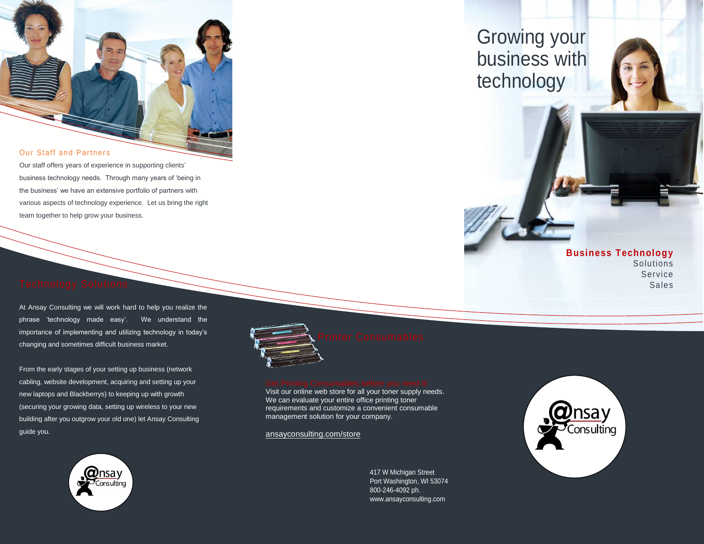#### Our Staff and Partners

Our staff offers years of experience in supporting clients' business technology needs. Through many years of 'being in the business' we have an extensive portfolio of partners with various aspects of technology experience. Let us bring the right team together to help grow your business.

At Ansay Consulting we will work hard to help you realize the phrase 'technology made easy'. We understand the importance of implementing and utilizing technology in today's changing and sometimes difficult business market.

From the early stages of your setting up business (network cabling, website development, acquiring and setting up your new laptops and Blackberrys) to keeping up with growth (securing your growing data, setting up wireless to your new building after you outgrow your old one) let Ansay Consulting guide you.



| n |
|---|
|   |
|   |
|   |
|   |
|   |

Visit our online web store for all your toner supply needs. We can evaluate your entire office printing toner requirements and customize a convenient consumable management solution for your company.

[ansayconsulting.com/store](http://www.ansayconsulting.com/store)



# Growing your business with technology



### **Business Technology** Solutions Service Sales

417 W Michigan Street Port Washington, WI 53074 800-246-4092 ph. <www.ansayconsulting.com>